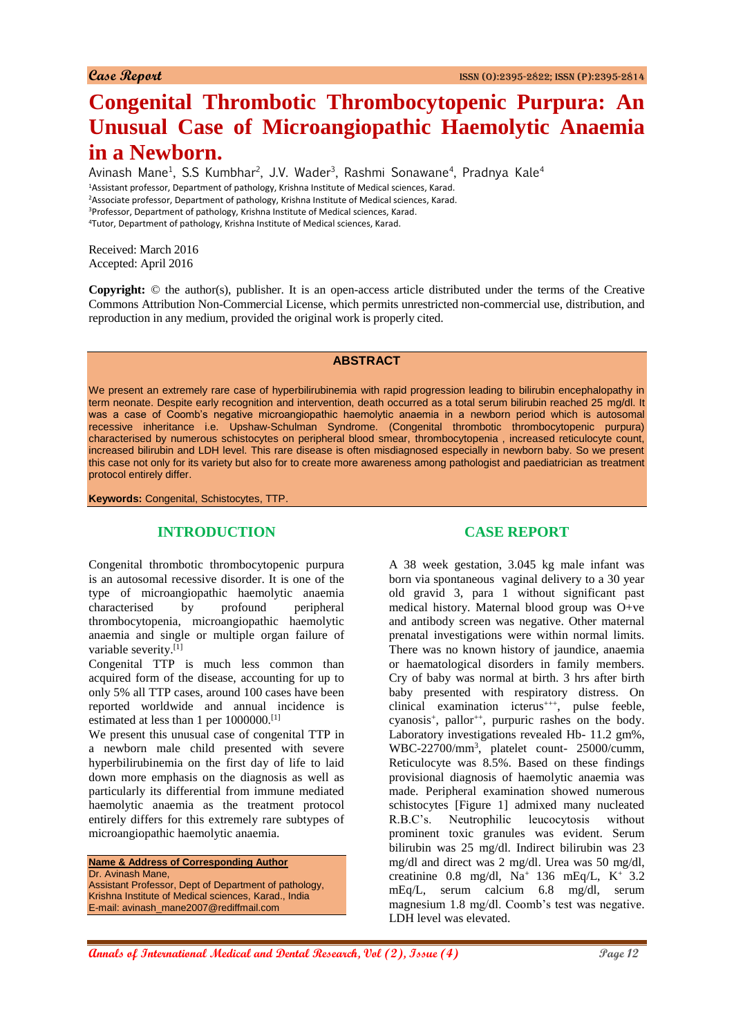# **Congenital Thrombotic Thrombocytopenic Purpura: An Unusual Case of Microangiopathic Haemolytic Anaemia in a Newborn.**

Avinash Mane<sup>1</sup>, S.S Kumbhar<sup>2</sup>, J.V. Wader<sup>3</sup>, Rashmi Sonawane<sup>4</sup>, Pradnya Kale<sup>4</sup> <sup>1</sup>Assistant professor, Department of pathology, Krishna Institute of Medical sciences, Karad. <sup>2</sup>Associate professor, Department of pathology, Krishna Institute of Medical sciences, Karad. <sup>3</sup>Professor, Department of pathology, Krishna Institute of Medical sciences, Karad. <sup>4</sup>Tutor, Department of pathology, Krishna Institute of Medical sciences, Karad.

Received: March 2016 Accepted: April 2016

**Copyright:** © the author(s), publisher. It is an open-access article distributed under the terms of the Creative Commons Attribution Non-Commercial License, which permits unrestricted non-commercial use, distribution, and reproduction in any medium, provided the original work is properly cited.

#### **ABSTRACT**

We present an extremely rare case of hyperbilirubinemia with rapid progression leading to bilirubin encephalopathy in term neonate. Despite early recognition and intervention, death occurred as a total serum bilirubin reached 25 mg/dl. It was a case of Coomb's negative microangiopathic haemolytic anaemia in a newborn period which is autosomal recessive inheritance i.e. Upshaw-Schulman Syndrome. (Congenital thrombotic thrombocytopenic purpura) characterised by numerous schistocytes on peripheral blood smear, thrombocytopenia , increased reticulocyte count, increased bilirubin and LDH level. This rare disease is often misdiagnosed especially in newborn baby. So we present this case not only for its variety but also for to create more awareness among pathologist and paediatrician as treatment protocol entirely differ.

**Keywords:** Congenital, Schistocytes, TTP.

# **INTRODUCTION**

Congenital thrombotic thrombocytopenic purpura is an autosomal recessive disorder. It is one of the type of microangiopathic haemolytic anaemia characterised by profound peripheral thrombocytopenia, microangiopathic haemolytic anaemia and single or multiple organ failure of variable severity.<sup>[1]</sup>

Congenital TTP is much less common than acquired form of the disease, accounting for up to only 5% all TTP cases, around 100 cases have been reported worldwide and annual incidence is estimated at less than 1 per 1000000.[1]

We present this unusual case of congenital TTP in a newborn male child presented with severe hyperbilirubinemia on the first day of life to laid down more emphasis on the diagnosis as well as particularly its differential from immune mediated haemolytic anaemia as the treatment protocol entirely differs for this extremely rare subtypes of microangiopathic haemolytic anaemia.

**Name & Address of Corresponding Author** Dr. Avinash Mane,

Assistant Professor, Dept of Department of pathology, Krishna Institute of Medical sciences, Karad., India E-mail: avinash\_mane2007@rediffmail.com

# **CASE REPORT**

A 38 week gestation, 3.045 kg male infant was born via spontaneous vaginal delivery to a 30 year old gravid 3, para 1 without significant past medical history. Maternal blood group was O+ve and antibody screen was negative. Other maternal prenatal investigations were within normal limits. There was no known history of jaundice, anaemia or haematological disorders in family members. Cry of baby was normal at birth. 3 hrs after birth baby presented with respiratory distress. On clinical examination icterus<sup>+++</sup>, pulse feeble, cyanosis<sup>+</sup>, pallor<sup>++</sup>, purpuric rashes on the body. Laboratory investigations revealed Hb- 11.2 gm%, WBC-22700/mm<sup>3</sup> , platelet count- 25000/cumm, Reticulocyte was 8.5%. Based on these findings provisional diagnosis of haemolytic anaemia was made. Peripheral examination showed numerous schistocytes [Figure 1] admixed many nucleated R.B.C's. Neutrophilic leucocytosis without prominent toxic granules was evident. Serum bilirubin was 25 mg/dl. Indirect bilirubin was 23 mg/dl and direct was 2 mg/dl. Urea was 50 mg/dl, creatinine 0.8 mg/dl,  $Na^+$  136 mEq/L,  $K^+$  3.2 mEq/L, serum calcium 6.8 mg/dl, serum magnesium 1.8 mg/dl. Coomb's test was negative. LDH level was elevated.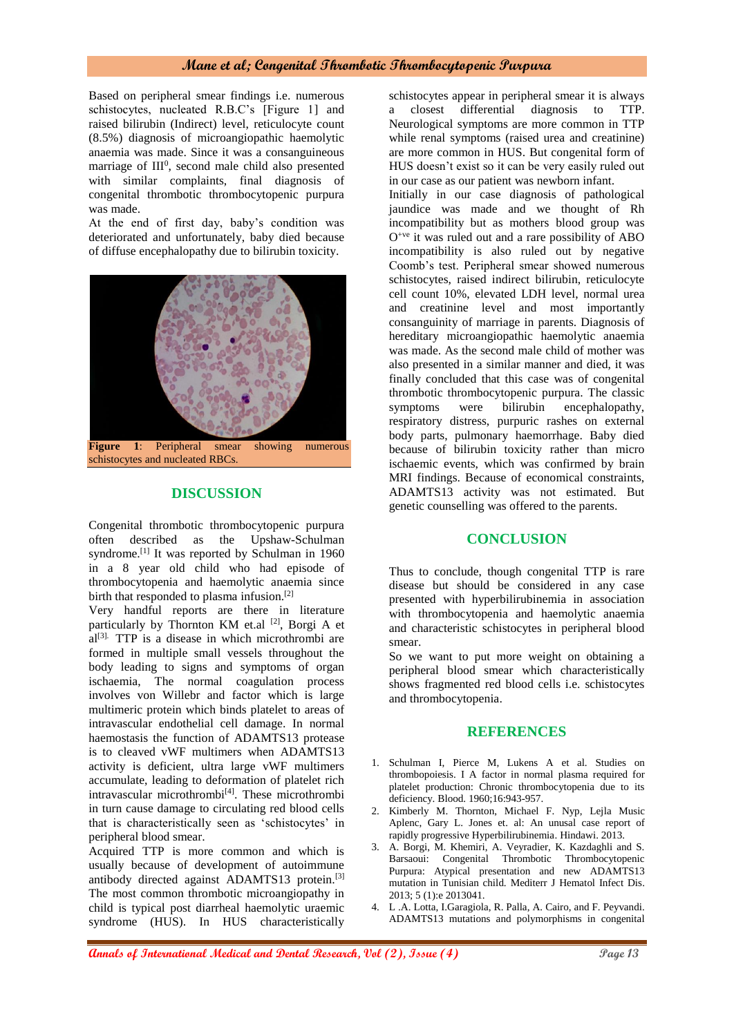#### **Mane et al; Congenital Thrombotic Thrombocytopenic Purpura**

Based on peripheral smear findings i.e. numerous schistocytes, nucleated R.B.C's [Figure 1] and raised bilirubin (Indirect) level, reticulocyte count (8.5%) diagnosis of microangiopathic haemolytic anaemia was made. Since it was a consanguineous marriage of III<sup>0</sup>, second male child also presented with similar complaints, final diagnosis of congenital thrombotic thrombocytopenic purpura was made.

At the end of first day, baby's condition was deteriorated and unfortunately, baby died because of diffuse encephalopathy due to bilirubin toxicity.



**Figure 1**: Peripheral smear showing numerous schistocytes and nucleated RBCs.

## **DISCUSSION**

Congenital thrombotic thrombocytopenic purpura often described as the Upshaw-Schulman syndrome.<sup>[1]</sup> It was reported by Schulman in 1960 in a 8 year old child who had episode of thrombocytopenia and haemolytic anaemia since birth that responded to plasma infusion.[2]

Very handful reports are there in literature particularly by Thornton KM et.al [2], Borgi A et  $a^{[3]}$ . TTP is a disease in which microthrombi are formed in multiple small vessels throughout the body leading to signs and symptoms of organ ischaemia, The normal coagulation process involves von Willebr and factor which is large multimeric protein which binds platelet to areas of intravascular endothelial cell damage. In normal haemostasis the function of ADAMTS13 protease is to cleaved vWF multimers when ADAMTS13 activity is deficient, ultra large vWF multimers accumulate, leading to deformation of platelet rich intravascular microthrombi<sup>[4]</sup>. These microthrombi in turn cause damage to circulating red blood cells that is characteristically seen as 'schistocytes' in peripheral blood smear.

Acquired TTP is more common and which is usually because of development of autoimmune antibody directed against ADAMTS13 protein.<sup>[3]</sup> The most common thrombotic microangiopathy in child is typical post diarrheal haemolytic uraemic syndrome (HUS). In HUS characteristically

schistocytes appear in peripheral smear it is always a closest differential diagnosis to TTP. Neurological symptoms are more common in TTP while renal symptoms (raised urea and creatinine) are more common in HUS. But congenital form of HUS doesn't exist so it can be very easily ruled out in our case as our patient was newborn infant.

Initially in our case diagnosis of pathological jaundice was made and we thought of Rh incompatibility but as mothers blood group was  $O^{+ve}$  it was ruled out and a rare possibility of ABO incompatibility is also ruled out by negative Coomb's test. Peripheral smear showed numerous schistocytes, raised indirect bilirubin, reticulocyte cell count 10%, elevated LDH level, normal urea and creatinine level and most importantly consanguinity of marriage in parents. Diagnosis of hereditary microangiopathic haemolytic anaemia was made. As the second male child of mother was also presented in a similar manner and died, it was finally concluded that this case was of congenital thrombotic thrombocytopenic purpura. The classic symptoms were bilirubin encephalopathy, respiratory distress, purpuric rashes on external body parts, pulmonary haemorrhage. Baby died because of bilirubin toxicity rather than micro ischaemic events, which was confirmed by brain MRI findings. Because of economical constraints, ADAMTS13 activity was not estimated. But genetic counselling was offered to the parents.

#### **CONCLUSION**

Thus to conclude, though congenital TTP is rare disease but should be considered in any case presented with hyperbilirubinemia in association with thrombocytopenia and haemolytic anaemia and characteristic schistocytes in peripheral blood smear.

So we want to put more weight on obtaining a peripheral blood smear which characteristically shows fragmented red blood cells i.e. schistocytes and thrombocytopenia.

#### **REFERENCES**

- 1. Schulman I, Pierce M, Lukens A et al. Studies on thrombopoiesis. I A factor in normal plasma required for platelet production: Chronic thrombocytopenia due to its deficiency. Blood. 1960;16:943-957.
- 2. Kimberly M. Thornton, Michael F. Nyp, Lejla Music Aplenc, Gary L. Jones et. al: An unusal case report of rapidly progressive Hyperbilirubinemia. Hindawi. 2013.
- 3. A. Borgi, M. Khemiri, A. Veyradier, K. Kazdaghli and S. Barsaoui: Congenital Thrombotic Thrombocytopenic Purpura: Atypical presentation and new ADAMTS13 mutation in Tunisian child. Mediterr J Hematol Infect Dis. 2013; 5 (1):e 2013041.
- 4. L .A. Lotta, I.Garagiola, R. Palla, A. Cairo, and F. Peyvandi. ADAMTS13 mutations and polymorphisms in congenital